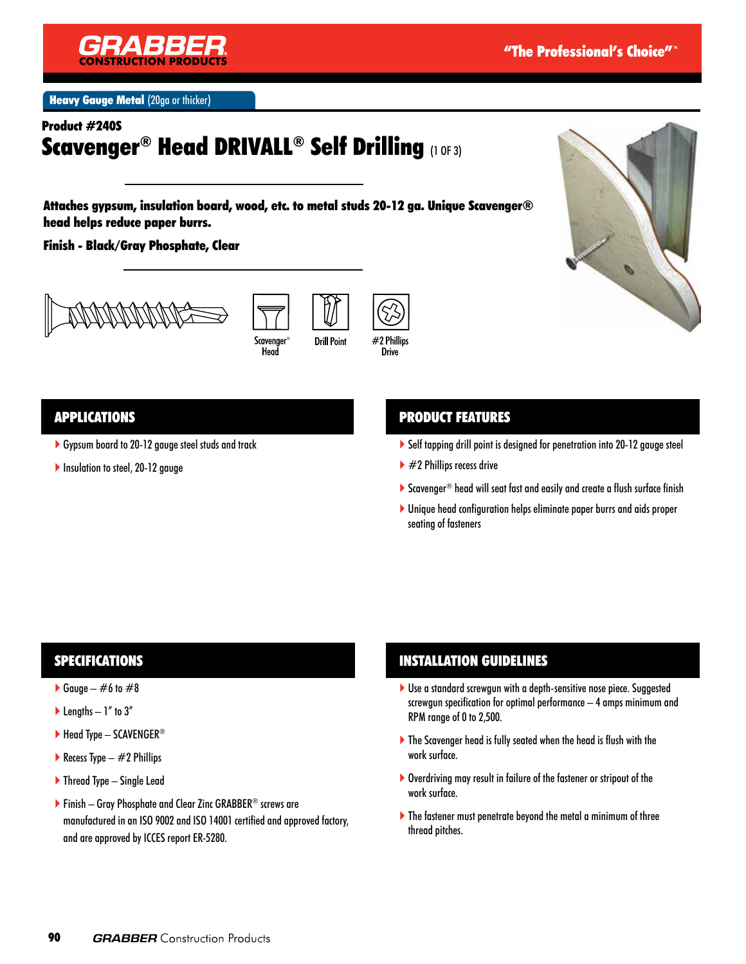

**Heavy Gauge Metal (20ga or thicker)** 

Product #240S

# Scavenger® Head DRIVALL® Self Drilling (1 OF 3)

Attaches gypsum, insulation board, wood, etc. to metal studs 20-12 ga. Unique Scavenger® head helps reduce paper burrs.

Finish - Black/Gray Phosphate, Clear







### APPLICATIONS

- Gypsum board to 20-12 gauge steel studs and track
- Insulation to steel, 20-12 gauge

# PRODUCT FEATURES

- Self tapping drill point is designed for penetration into 20-12 gauge steel
- $\blacktriangleright$  #2 Phillips recess drive
- ▶ Scavenger® head will seat fast and easily and create a flush surface finish
- Unique head configuration helps eliminate paper burrs and aids proper seating of fasteners

### SPECIFICATIONS

- Gauge  $\#6$  to  $\#8$
- $\blacktriangleright$  Lengths  $-1$ " to 3"
- $\blacktriangleright$  Head Type SCAVENGER®
- Recess Type  $-$  #2 Phillips
- ▶ Thread Type Single Lead
- Finish Gray Phosphate and Clear Zinc GRABBER® screws are manufactured in an ISO 9002 and ISO 14001 certified and approved factory, and are approved by ICCES report ER-5280.

### INSTALLATION GUIDELINES

- Use a standard screwgun with a depth-sensitive nose piece. Suggested screwgun specification for optimal performance – 4 amps minimum and RPM range of 0 to 2,500.
- The Scavenger head is fully seated when the head is flush with the work surface.
- Overdriving may result in failure of the fastener or stripout of the work surface.
- The fastener must penetrate beyond the metal a minimum of three thread pitches.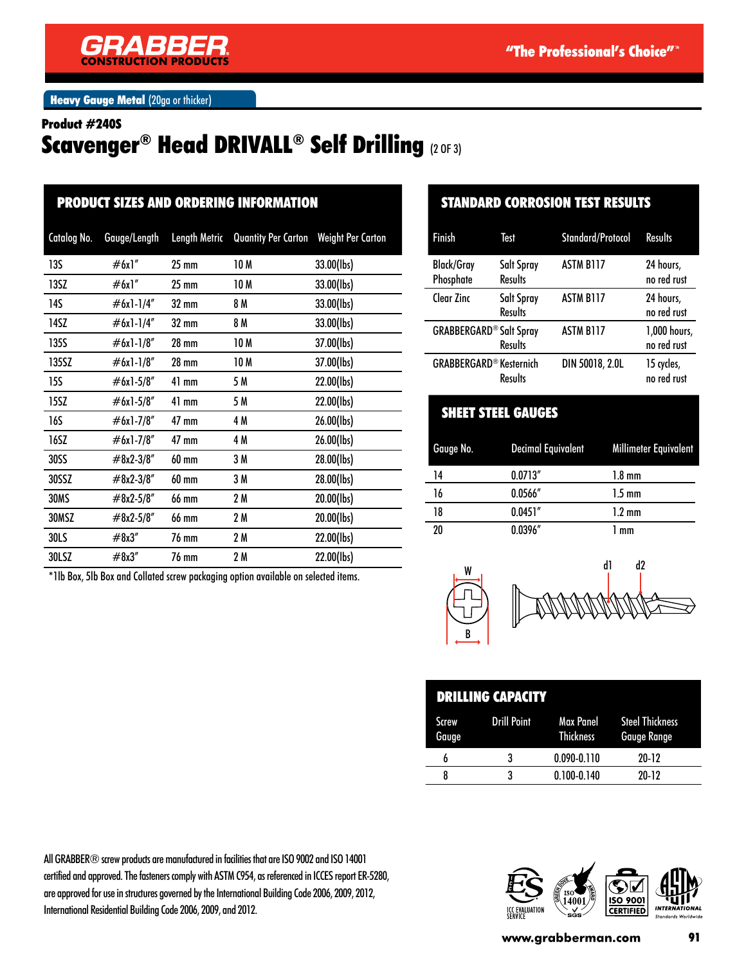

**Heavy Gauge Metal (20ga or thicker)** 

#### Product #240S

# Scavenger® Head DRIVALL® Self Drilling (2 OF 3)

| <b>PRODUCT SIZES AND ORDERING INFORMATION</b> |                                                                                    |                      |                            |                          |
|-----------------------------------------------|------------------------------------------------------------------------------------|----------------------|----------------------------|--------------------------|
| Catalog No.                                   | Gauge/Length                                                                       | <b>Length Metric</b> | <b>Quantity Per Carton</b> | <b>Weight Per Carton</b> |
| 13S                                           | #6x1"                                                                              | 25 mm                | 10 M                       | 33.00(lbs)               |
| 13SZ                                          | #6x1"                                                                              | $25 \text{ mm}$      | 10 M                       | 33.00(lbs)               |
| 14S                                           | #6x1-1/4"                                                                          | 32 mm                | 8 M                        | 33.00(lbs)               |
| 14SZ                                          | #6x1-1/4"                                                                          | 32 mm                | 8 M                        | 33.00(lbs)               |
| 135S                                          | $#6x1-1/8"$                                                                        | 28 mm                | 10 M                       | 37.00(lbs)               |
| 135SZ                                         | $#6x1-1/8"$                                                                        | 28 mm                | 10 M                       | 37.00(lbs)               |
| 15S                                           | $#6x1-5/8"$                                                                        | $41$ mm              | 5 M                        | 22.00(lbs)               |
| 15SZ                                          | $#6x1-5/8"$                                                                        | $41$ mm              | 5 M                        | 22.00(lbs)               |
| <b>16S</b>                                    | #6x1-7/8"                                                                          | 47 mm                | 4 M                        | 26.00(lbs)               |
| 16SZ                                          | #6x1-7/8"                                                                          | 47 mm                | 4 M                        | 26.00(lbs)               |
| 30SS                                          | $#8x2-3/8"$                                                                        | 60 mm                | 3 M                        | 28.00(lbs)               |
| 30SSZ                                         | #8x2-3/8"                                                                          | 60 mm                | 3 M                        | 28.00(lbs)               |
| 30MS                                          | #8x2-5/8"                                                                          | 66 mm                | 2 M                        | 20.00(lbs)               |
| 30MSZ                                         | #8x2-5/8"                                                                          | <b>66 mm</b>         | 2 M                        | 20.00(lbs)               |
| 30LS                                          | #8x3"                                                                              | 76 mm                | 2 M                        | 22.00(lbs)               |
| 30LSZ                                         | #8x3"                                                                              | 76 mm                | 2 M                        | 22.00(lbs)               |
|                                               | *1lb Box, 5lb Box and Collated screw packaging option available on selected items. |                      |                            |                          |

### STANDARD CORROSION TEST RESULTS

| <b>Finish</b>                  | Test                         | Standard/Protocol | <b>Results</b>              |
|--------------------------------|------------------------------|-------------------|-----------------------------|
| <b>Black/Gray</b><br>Phosphate | Salt Spray<br><b>Results</b> | <b>ASTM B117</b>  | 24 hours,<br>no red rust    |
| Clear Zinc                     | Salt Spray<br><b>Results</b> | <b>ASTM B117</b>  | 24 hours,<br>no red rust    |
| <b>GRABBERGARD® Salt Spray</b> | <b>Results</b>               | <b>ASTM B117</b>  | 1,000 hours,<br>no red rust |
| <b>GRABBERGARD® Kesternich</b> | Results                      | DIN 50018, 2.0L   | 15 cycles,<br>no red rust   |

|           | .                                        |                  |  |
|-----------|------------------------------------------|------------------|--|
| Gauge No. | Decimal Equivalent Millimeter Equivalent |                  |  |
| 14        | 0.0713''                                 | $1.8 \text{ mm}$ |  |
| 16        | 0.0566''                                 | $1.5 \text{ mm}$ |  |
| 18        | 0.0451''                                 | $1.2 \text{ mm}$ |  |
| 20        | 0.0396''                                 | 1 mm             |  |
|           |                                          |                  |  |

SHEET STEEL GAUGES



| <b>DRILLING CAPACITY</b> |             |                               |                                              |
|--------------------------|-------------|-------------------------------|----------------------------------------------|
| <b>Screw</b><br>Gauge    | Drill Point | Max Panel<br><b>Thickness</b> | <b>Steel Thickness</b><br><b>Gauge Range</b> |
|                          | ર           | $0.090 - 0.110$               | $20-12$                                      |
|                          |             | $0.100 - 0.140$               | $20-12$                                      |

All GRABBER® screw products are manufactured in facilities that are ISO 9002 and ISO 14001 certified and approved. The fasteners comply with ASTM C954, as referenced in ICCES report ER-5280, are approved for use in structures governed by the International Building Code 2006, 2009, 2012, International Residential Building Code 2006, 2009, and 2012.